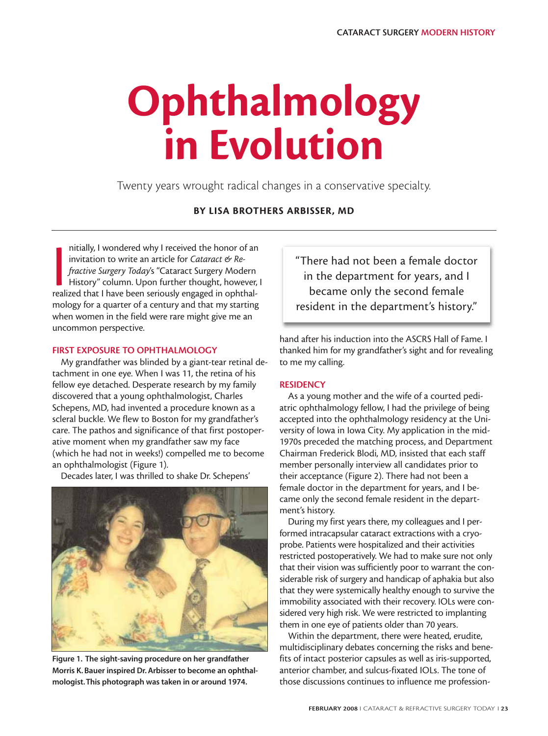# **Ophthalmology in Evolution**

Twenty years wrought radical changes in a conservative specialty.

# **BY LISA BROTHERS ARBISSER, MD**

nitially, I wondered why I received the honor of an invitation to write an article for *Cataract* & *Re-<br>fractive Surgery Today's* "Cataract Surgery Modern<br>History" column. Upon further thought, however,<br>realized that I ha nitially, I wondered why I received the honor of an invitation to write an article for *Cataract & Refractive Surgery Today*'s "Cataract Surgery Modern History" column. Upon further thought, however, I mology for a quarter of a century and that my starting when women in the field were rare might give me an uncommon perspective.

## **FIRST EXPOSURE TO OPHTHALMOLOGY**

My grandfather was blinded by a giant-tear retinal detachment in one eye. When I was 11, the retina of his fellow eye detached. Desperate research by my family discovered that a young ophthalmologist, Charles Schepens, MD, had invented a procedure known as a scleral buckle. We flew to Boston for my grandfather's care. The pathos and significance of that first postoperative moment when my grandfather saw my face (which he had not in weeks!) compelled me to become an ophthalmologist (Figure 1).

Decades later, I was thrilled to shake Dr. Schepens'



**Figure 1. The sight-saving procedure on her grandfather Morris K. Bauer inspired Dr. Arbisser to become an ophthalmologist.This photograph was taken in or around 1974.**

"There had not been a female doctor in the department for years, and I became only the second female resident in the department's history."

hand after his induction into the ASCRS Hall of Fame. I thanked him for my grandfather's sight and for revealing to me my calling.

### **RESIDENCY**

As a young mother and the wife of a courted pediatric ophthalmology fellow, I had the privilege of being accepted into the ophthalmology residency at the University of Iowa in Iowa City. My application in the mid-1970s preceded the matching process, and Department Chairman Frederick Blodi, MD, insisted that each staff member personally interview all candidates prior to their acceptance (Figure 2). There had not been a female doctor in the department for years, and I became only the second female resident in the department's history.

During my first years there, my colleagues and I performed intracapsular cataract extractions with a cryoprobe. Patients were hospitalized and their activities restricted postoperatively. We had to make sure not only that their vision was sufficiently poor to warrant the considerable risk of surgery and handicap of aphakia but also that they were systemically healthy enough to survive the immobility associated with their recovery. IOLs were considered very high risk. We were restricted to implanting them in one eye of patients older than 70 years.

Within the department, there were heated, erudite, multidisciplinary debates concerning the risks and benefits of intact posterior capsules as well as iris-supported, anterior chamber, and sulcus-fixated IOLs. The tone of those discussions continues to influence me profession-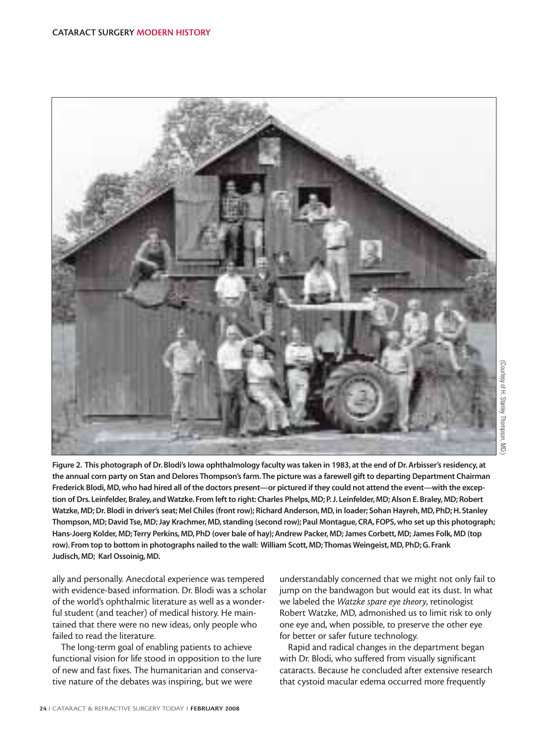

**Figure 2. This photograph of Dr. Blodi's Iowa ophthalmology faculty was taken in 1983, at the end of Dr. Arbisser's residency, at the annual corn party on Stan and Delores Thompson's farm.The picture was a farewell gift to departing Department Chairman Frederick Blodi, MD, who had hired all of the doctors present—or pictured if they could not attend the event—with the exception of Drs. Leinfelder, Braley, and Watzke. From left to right: Charles Phelps, MD; P. J. Leinfelder, MD; Alson E. Braley, MD; Robert Watzke, MD; Dr. Blodi in driver's seat; Mel Chiles (front row); Richard Anderson, MD, in loader; Sohan Hayreh, MD, PhD; H. Stanley Thompson, MD; David Tse, MD; Jay Krachmer, MD, standing (second row); Paul Montague, CRA, FOPS, who set up this photograph; Hans-Joerg Kolder, MD; Terry Perkins, MD, PhD (over bale of hay); Andrew Packer, MD; James Corbett, MD; James Folk, MD (top row). From top to bottom in photographs nailed to the wall: William Scott, MD; Thomas Weingeist, MD, PhD; G. Frank Judisch, MD; Karl Ossoinig, MD.**

ally and personally. Anecdotal experience was tempered with evidence-based information. Dr. Blodi was a scholar of the world's ophthalmic literature as well as a wonderful student (and teacher) of medical history. He maintained that there were no new ideas, only people who failed to read the literature.

The long-term goal of enabling patients to achieve functional vision for life stood in opposition to the lure of new and fast fixes. The humanitarian and conservative nature of the debates was inspiring, but we were

understandably concerned that we might not only fail to jump on the bandwagon but would eat its dust. In what we labeled the *Watzke spare eye theory*, retinologist Robert Watzke, MD, admonished us to limit risk to only one eye and, when possible, to preserve the other eye for better or safer future technology.

Rapid and radical changes in the department began with Dr. Blodi, who suffered from visually significant cataracts. Because he concluded after extensive research that cystoid macular edema occurred more frequently